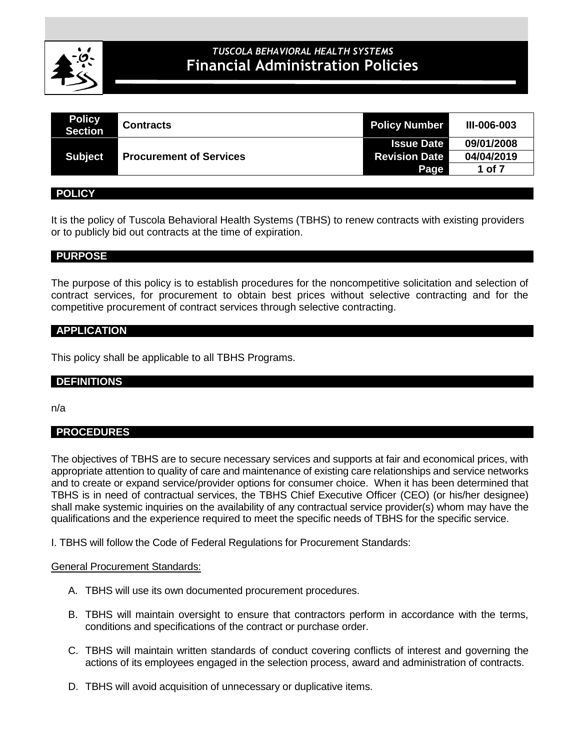

# **CLINICAL POLICIES** *TUSCOLA BEHAVIORAL HEALTH SYSTEMS* **Financial Administration Policies**

| <b>Policy</b><br><b>Section</b> | <b>Contracts</b>               | <b>Policy Number</b> | <b>III-006-003</b> |
|---------------------------------|--------------------------------|----------------------|--------------------|
|                                 |                                | <b>Issue Date</b>    | 09/01/2008         |
| <b>Subject</b>                  | <b>Procurement of Services</b> | <b>Revision Date</b> | 04/04/2019         |
|                                 |                                | Page                 | 1 of 7             |
|                                 |                                |                      |                    |

## **POLICY**

It is the policy of Tuscola Behavioral Health Systems (TBHS) to renew contracts with existing providers or to publicly bid out contracts at the time of expiration.

# **PURPOSE**

The purpose of this policy is to establish procedures for the noncompetitive solicitation and selection of contract services, for procurement to obtain best prices without selective contracting and for the competitive procurement of contract services through selective contracting.

## **APPLICATION**

This policy shall be applicable to all TBHS Programs.

## **DEFINITIONS**

n/a

# **PROCEDURES**

The objectives of TBHS are to secure necessary services and supports at fair and economical prices, with appropriate attention to quality of care and maintenance of existing care relationships and service networks and to create or expand service/provider options for consumer choice. When it has been determined that TBHS is in need of contractual services, the TBHS Chief Executive Officer (CEO) (or his/her designee) shall make systemic inquiries on the availability of any contractual service provider(s) whom may have the qualifications and the experience required to meet the specific needs of TBHS for the specific service.

I. TBHS will follow the Code of Federal Regulations for Procurement Standards:

#### General Procurement Standards:

- A. TBHS will use its own documented procurement procedures.
- B. TBHS will maintain oversight to ensure that contractors perform in accordance with the terms, conditions and specifications of the contract or purchase order.
- C. TBHS will maintain written standards of conduct covering conflicts of interest and governing the actions of its employees engaged in the selection process, award and administration of contracts.
- D. TBHS will avoid acquisition of unnecessary or duplicative items.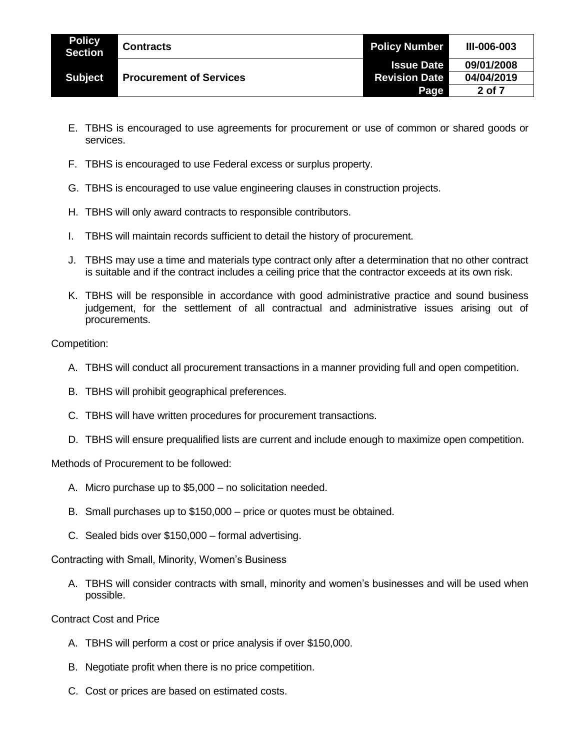| <b>Policy</b><br><b>Section</b> | <b>Contracts</b>               | <b>Policy Number</b> | <b>III-006-003</b> |
|---------------------------------|--------------------------------|----------------------|--------------------|
|                                 |                                | <b>Issue Date</b>    | 09/01/2008         |
| <b>Subject</b>                  | <b>Procurement of Services</b> | <b>Revision Date</b> | 04/04/2019         |
|                                 |                                | Page                 | 2 of 7             |

- E. TBHS is encouraged to use agreements for procurement or use of common or shared goods or services.
- F. TBHS is encouraged to use Federal excess or surplus property.
- G. TBHS is encouraged to use value engineering clauses in construction projects.
- H. TBHS will only award contracts to responsible contributors.
- I. TBHS will maintain records sufficient to detail the history of procurement.
- J. TBHS may use a time and materials type contract only after a determination that no other contract is suitable and if the contract includes a ceiling price that the contractor exceeds at its own risk.
- K. TBHS will be responsible in accordance with good administrative practice and sound business judgement, for the settlement of all contractual and administrative issues arising out of procurements.

Competition:

- A. TBHS will conduct all procurement transactions in a manner providing full and open competition.
- B. TBHS will prohibit geographical preferences.
- C. TBHS will have written procedures for procurement transactions.
- D. TBHS will ensure prequalified lists are current and include enough to maximize open competition.

Methods of Procurement to be followed:

- A. Micro purchase up to \$5,000 no solicitation needed.
- B. Small purchases up to \$150,000 price or quotes must be obtained.
- C. Sealed bids over \$150,000 formal advertising.

Contracting with Small, Minority, Women's Business

A. TBHS will consider contracts with small, minority and women's businesses and will be used when possible.

Contract Cost and Price

- A. TBHS will perform a cost or price analysis if over \$150,000.
- B. Negotiate profit when there is no price competition.
- C. Cost or prices are based on estimated costs.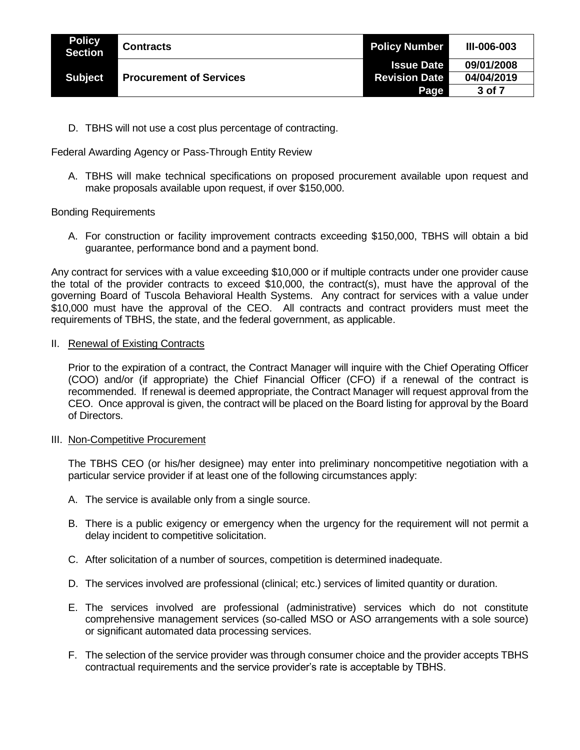| <b>Policy</b><br>Section | <b>Contracts</b>               | <b>Policy Number</b> | <b>III-006-003</b> |
|--------------------------|--------------------------------|----------------------|--------------------|
|                          |                                | <b>Issue Date</b>    | 09/01/2008         |
| <b>Subject</b>           | <b>Procurement of Services</b> | <b>Revision Date</b> | 04/04/2019         |
|                          |                                | Page                 | 3 of 7             |

D. TBHS will not use a cost plus percentage of contracting.

Federal Awarding Agency or Pass-Through Entity Review

A. TBHS will make technical specifications on proposed procurement available upon request and make proposals available upon request, if over \$150,000.

## Bonding Requirements

A. For construction or facility improvement contracts exceeding \$150,000, TBHS will obtain a bid guarantee, performance bond and a payment bond.

Any contract for services with a value exceeding \$10,000 or if multiple contracts under one provider cause the total of the provider contracts to exceed \$10,000, the contract(s), must have the approval of the governing Board of Tuscola Behavioral Health Systems. Any contract for services with a value under \$10,000 must have the approval of the CEO. All contracts and contract providers must meet the requirements of TBHS, the state, and the federal government, as applicable.

## II. Renewal of Existing Contracts

Prior to the expiration of a contract, the Contract Manager will inquire with the Chief Operating Officer (COO) and/or (if appropriate) the Chief Financial Officer (CFO) if a renewal of the contract is recommended. If renewal is deemed appropriate, the Contract Manager will request approval from the CEO. Once approval is given, the contract will be placed on the Board listing for approval by the Board of Directors.

#### III. Non-Competitive Procurement

The TBHS CEO (or his/her designee) may enter into preliminary noncompetitive negotiation with a particular service provider if at least one of the following circumstances apply:

- A. The service is available only from a single source.
- B. There is a public exigency or emergency when the urgency for the requirement will not permit a delay incident to competitive solicitation.
- C. After solicitation of a number of sources, competition is determined inadequate.
- D. The services involved are professional (clinical; etc.) services of limited quantity or duration.
- E. The services involved are professional (administrative) services which do not constitute comprehensive management services (so-called MSO or ASO arrangements with a sole source) or significant automated data processing services.
- F. The selection of the service provider was through consumer choice and the provider accepts TBHS contractual requirements and the service provider's rate is acceptable by TBHS.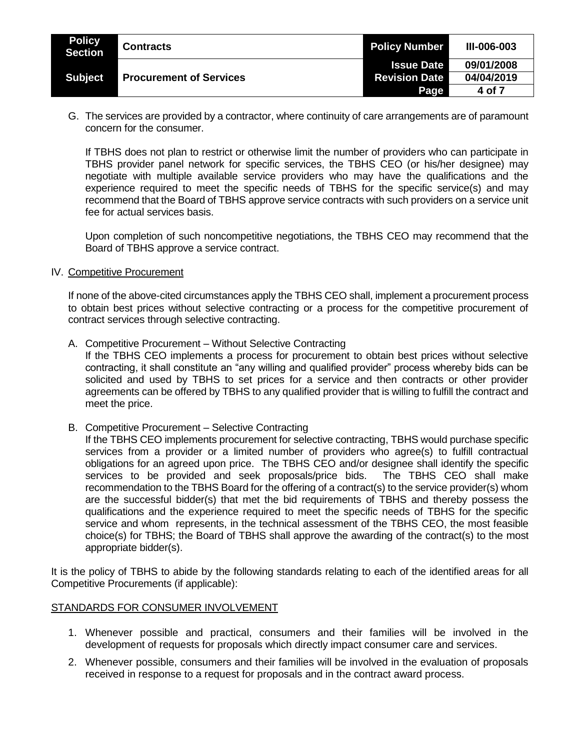| <b>Policy</b><br><b>Section</b> | <b>Contracts</b>               | <b>Policy Number</b> | <b>III-006-003</b> |
|---------------------------------|--------------------------------|----------------------|--------------------|
|                                 |                                | <b>Issue Date</b>    | 09/01/2008         |
| <b>Subject</b>                  | <b>Procurement of Services</b> | <b>Revision Date</b> | 04/04/2019         |
|                                 |                                | Page                 | 4 of 7             |

G. The services are provided by a contractor, where continuity of care arrangements are of paramount concern for the consumer.

If TBHS does not plan to restrict or otherwise limit the number of providers who can participate in TBHS provider panel network for specific services, the TBHS CEO (or his/her designee) may negotiate with multiple available service providers who may have the qualifications and the experience required to meet the specific needs of TBHS for the specific service(s) and may recommend that the Board of TBHS approve service contracts with such providers on a service unit fee for actual services basis.

Upon completion of such noncompetitive negotiations, the TBHS CEO may recommend that the Board of TBHS approve a service contract.

#### IV. Competitive Procurement

If none of the above-cited circumstances apply the TBHS CEO shall, implement a procurement process to obtain best prices without selective contracting or a process for the competitive procurement of contract services through selective contracting.

A. Competitive Procurement – Without Selective Contracting

If the TBHS CEO implements a process for procurement to obtain best prices without selective contracting, it shall constitute an "any willing and qualified provider" process whereby bids can be solicited and used by TBHS to set prices for a service and then contracts or other provider agreements can be offered by TBHS to any qualified provider that is willing to fulfill the contract and meet the price.

B. Competitive Procurement – Selective Contracting

If the TBHS CEO implements procurement for selective contracting, TBHS would purchase specific services from a provider or a limited number of providers who agree(s) to fulfill contractual obligations for an agreed upon price. The TBHS CEO and/or designee shall identify the specific services to be provided and seek proposals/price bids. The TBHS CEO shall make recommendation to the TBHS Board for the offering of a contract(s) to the service provider(s) whom are the successful bidder(s) that met the bid requirements of TBHS and thereby possess the qualifications and the experience required to meet the specific needs of TBHS for the specific service and whom represents, in the technical assessment of the TBHS CEO, the most feasible choice(s) for TBHS; the Board of TBHS shall approve the awarding of the contract(s) to the most appropriate bidder(s).

It is the policy of TBHS to abide by the following standards relating to each of the identified areas for all Competitive Procurements (if applicable):

#### STANDARDS FOR CONSUMER INVOLVEMENT

- 1. Whenever possible and practical, consumers and their families will be involved in the development of requests for proposals which directly impact consumer care and services.
- 2. Whenever possible, consumers and their families will be involved in the evaluation of proposals received in response to a request for proposals and in the contract award process.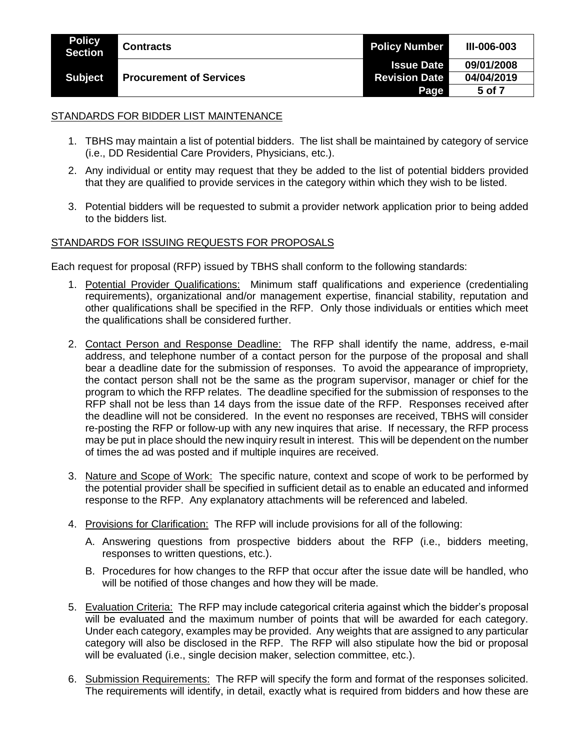| <b>Policy</b><br><b>Section</b> | <b>Contracts</b>               | <b>Policy Number</b> | <b>III-006-003</b> |
|---------------------------------|--------------------------------|----------------------|--------------------|
| <b>Subject</b>                  | <b>Procurement of Services</b> | <b>Issue Date</b>    | 09/01/2008         |
|                                 |                                | <b>Revision Date</b> | 04/04/2019         |
|                                 |                                | Page                 | 5 of 7             |

## STANDARDS FOR BIDDER LIST MAINTENANCE

- 1. TBHS may maintain a list of potential bidders. The list shall be maintained by category of service (i.e., DD Residential Care Providers, Physicians, etc.).
- 2. Any individual or entity may request that they be added to the list of potential bidders provided that they are qualified to provide services in the category within which they wish to be listed.
- 3. Potential bidders will be requested to submit a provider network application prior to being added to the bidders list.

## STANDARDS FOR ISSUING REQUESTS FOR PROPOSALS

Each request for proposal (RFP) issued by TBHS shall conform to the following standards:

- 1. Potential Provider Qualifications: Minimum staff qualifications and experience (credentialing requirements), organizational and/or management expertise, financial stability, reputation and other qualifications shall be specified in the RFP. Only those individuals or entities which meet the qualifications shall be considered further.
- 2. Contact Person and Response Deadline: The RFP shall identify the name, address, e-mail address, and telephone number of a contact person for the purpose of the proposal and shall bear a deadline date for the submission of responses. To avoid the appearance of impropriety, the contact person shall not be the same as the program supervisor, manager or chief for the program to which the RFP relates. The deadline specified for the submission of responses to the RFP shall not be less than 14 days from the issue date of the RFP. Responses received after the deadline will not be considered. In the event no responses are received, TBHS will consider re-posting the RFP or follow-up with any new inquires that arise. If necessary, the RFP process may be put in place should the new inquiry result in interest. This will be dependent on the number of times the ad was posted and if multiple inquires are received.
- 3. Nature and Scope of Work: The specific nature, context and scope of work to be performed by the potential provider shall be specified in sufficient detail as to enable an educated and informed response to the RFP. Any explanatory attachments will be referenced and labeled.
- 4. Provisions for Clarification: The RFP will include provisions for all of the following:
	- A. Answering questions from prospective bidders about the RFP (i.e., bidders meeting, responses to written questions, etc.).
	- B. Procedures for how changes to the RFP that occur after the issue date will be handled, who will be notified of those changes and how they will be made.
- 5. Evaluation Criteria: The RFP may include categorical criteria against which the bidder's proposal will be evaluated and the maximum number of points that will be awarded for each category. Under each category, examples may be provided. Any weights that are assigned to any particular category will also be disclosed in the RFP. The RFP will also stipulate how the bid or proposal will be evaluated (i.e., single decision maker, selection committee, etc.).
- 6. Submission Requirements: The RFP will specify the form and format of the responses solicited. The requirements will identify, in detail, exactly what is required from bidders and how these are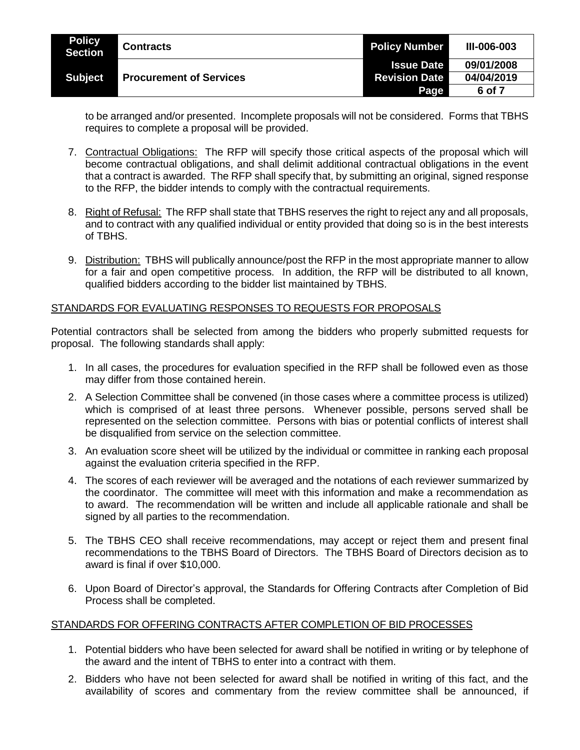| <b>Policy</b><br><b>Section</b> | <b>Contracts</b>               | <b>Policy Number</b> | <b>III-006-003</b> |
|---------------------------------|--------------------------------|----------------------|--------------------|
|                                 |                                | <b>Issue Date</b>    | 09/01/2008         |
| <b>Subject</b>                  | <b>Procurement of Services</b> | <b>Revision Date</b> | 04/04/2019         |
|                                 |                                | Page                 | 6 of 7             |

to be arranged and/or presented. Incomplete proposals will not be considered. Forms that TBHS requires to complete a proposal will be provided.

- 7. Contractual Obligations: The RFP will specify those critical aspects of the proposal which will become contractual obligations, and shall delimit additional contractual obligations in the event that a contract is awarded. The RFP shall specify that, by submitting an original, signed response to the RFP, the bidder intends to comply with the contractual requirements.
- 8. Right of Refusal: The RFP shall state that TBHS reserves the right to reject any and all proposals, and to contract with any qualified individual or entity provided that doing so is in the best interests of TBHS.
- 9. Distribution: TBHS will publically announce/post the RFP in the most appropriate manner to allow for a fair and open competitive process. In addition, the RFP will be distributed to all known, qualified bidders according to the bidder list maintained by TBHS.

# STANDARDS FOR EVALUATING RESPONSES TO REQUESTS FOR PROPOSALS

Potential contractors shall be selected from among the bidders who properly submitted requests for proposal. The following standards shall apply:

- 1. In all cases, the procedures for evaluation specified in the RFP shall be followed even as those may differ from those contained herein.
- 2. A Selection Committee shall be convened (in those cases where a committee process is utilized) which is comprised of at least three persons. Whenever possible, persons served shall be represented on the selection committee. Persons with bias or potential conflicts of interest shall be disqualified from service on the selection committee.
- 3. An evaluation score sheet will be utilized by the individual or committee in ranking each proposal against the evaluation criteria specified in the RFP.
- 4. The scores of each reviewer will be averaged and the notations of each reviewer summarized by the coordinator. The committee will meet with this information and make a recommendation as to award. The recommendation will be written and include all applicable rationale and shall be signed by all parties to the recommendation.
- 5. The TBHS CEO shall receive recommendations, may accept or reject them and present final recommendations to the TBHS Board of Directors. The TBHS Board of Directors decision as to award is final if over \$10,000.
- 6. Upon Board of Director's approval, the Standards for Offering Contracts after Completion of Bid Process shall be completed.

## STANDARDS FOR OFFERING CONTRACTS AFTER COMPLETION OF BID PROCESSES

- 1. Potential bidders who have been selected for award shall be notified in writing or by telephone of the award and the intent of TBHS to enter into a contract with them.
- 2. Bidders who have not been selected for award shall be notified in writing of this fact, and the availability of scores and commentary from the review committee shall be announced, if